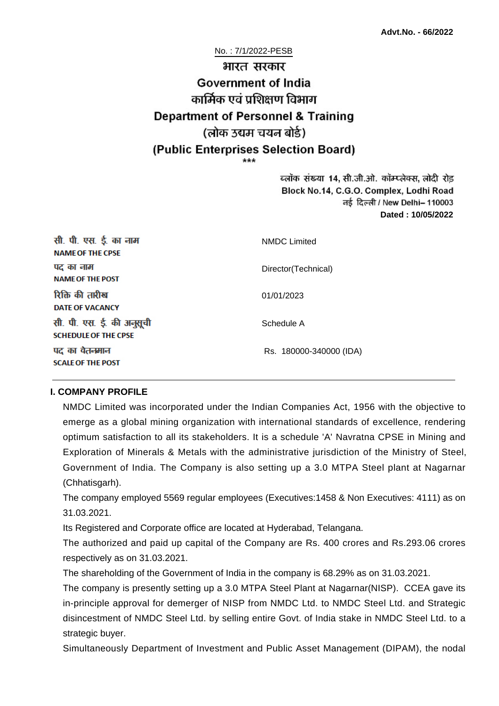# No. : 7/1/2022-PESB भारत सरकार **Government of India** कार्मिक एवं पशिक्षण विभाग **Department of Personnel & Training** (लोक उद्यम चयन बोर्ड) (Public Enterprises Selection Board)

ब्लॉक संख्या 14, सी.जी.ओ. कॉम्प्लेक्स, लोदी रोड Block No.14, C.G.O. Complex, Lodhi Road ਰई दिल्ली / New Delhi– 110003 **Dated : 10/05/2022**

| सी. पी. एस. ई. का नाम<br><b>NAME OF THE CPSE</b>         | <b>NMDC</b> Limited     |
|----------------------------------------------------------|-------------------------|
| पद का नाम<br><b>NAME OF THE POST</b>                     | Director(Technical)     |
| रिक्ति की तारीख<br><b>DATE OF VACANCY</b>                | 01/01/2023              |
| सी. पी. एस. ई. की अनुसूची<br><b>SCHEDULE OF THE CPSE</b> | Schedule A              |
| पद का वेतनमान<br><b>SCALE OF THE POST</b>                | Rs. 180000-340000 (IDA) |

#### **I. COMPANY PROFILE**

NMDC Limited was incorporated under the Indian Companies Act, 1956 with the objective to emerge as a global mining organization with international standards of excellence, rendering optimum satisfaction to all its stakeholders. It is a schedule 'A' Navratna CPSE in Mining and Exploration of Minerals & Metals with the administrative jurisdiction of the Ministry of Steel, Government of India. The Company is also setting up a 3.0 MTPA Steel plant at Nagarnar (Chhatisgarh).

The company employed 5569 regular employees (Executives:1458 & Non Executives: 4111) as on 31.03.2021.

Its Registered and Corporate office are located at Hyderabad, Telangana.

The authorized and paid up capital of the Company are Rs. 400 crores and Rs.293.06 crores respectively as on 31.03.2021.

The shareholding of the Government of India in the company is 68.29% as on 31.03.2021.

The company is presently setting up a 3.0 MTPA Steel Plant at Nagarnar(NISP). CCEA gave its in-principle approval for demerger of NISP from NMDC Ltd. to NMDC Steel Ltd. and Strategic disincestment of NMDC Steel Ltd. by selling entire Govt. of India stake in NMDC Steel Ltd. to a strategic buyer.

Simultaneously Department of Investment and Public Asset Management (DIPAM), the nodal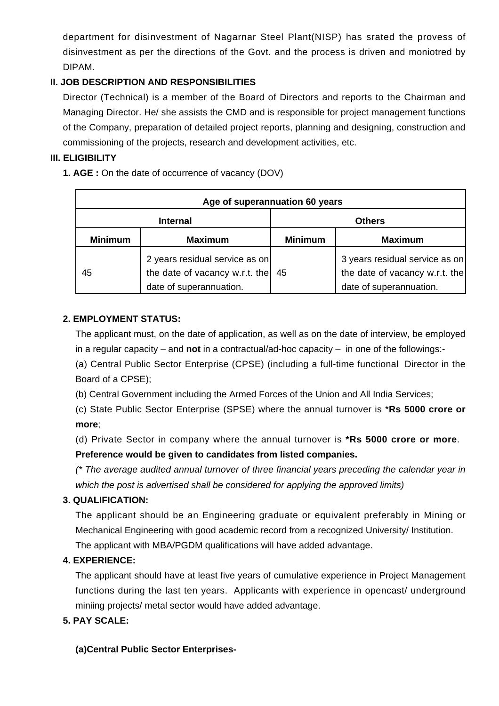department for disinvestment of Nagarnar Steel Plant(NISP) has srated the provess of disinvestment as per the directions of the Govt. and the process is driven and moniotred by DIPAM.

# **II. JOB DESCRIPTION AND RESPONSIBILITIES**

Director (Technical) is a member of the Board of Directors and reports to the Chairman and Managing Director. He/ she assists the CMD and is responsible for project management functions of the Company, preparation of detailed project reports, planning and designing, construction and commissioning of the projects, research and development activities, etc.

#### **III. ELIGIBILITY**

**1. AGE :** On the date of occurrence of vacancy (DOV)

| Age of superannuation 60 years |                                                                                             |                |                                                                                             |
|--------------------------------|---------------------------------------------------------------------------------------------|----------------|---------------------------------------------------------------------------------------------|
| <b>Internal</b>                |                                                                                             | <b>Others</b>  |                                                                                             |
| <b>Minimum</b>                 | <b>Maximum</b>                                                                              | <b>Minimum</b> | <b>Maximum</b>                                                                              |
| 45                             | 2 years residual service as on<br>the date of vacancy w.r.t. the<br>date of superannuation. | 45             | 3 years residual service as on<br>the date of vacancy w.r.t. the<br>date of superannuation. |

#### **2. EMPLOYMENT STATUS:**

The applicant must, on the date of application, as well as on the date of interview, be employed in a regular capacity – and **not** in a contractual/ad-hoc capacity – in one of the followings:-

(a) Central Public Sector Enterprise (CPSE) (including a full-time functional Director in the Board of a CPSE);

(b) Central Government including the Armed Forces of the Union and All India Services;

(c) State Public Sector Enterprise (SPSE) where the annual turnover is \***Rs 5000 crore or more**;

(d) Private Sector in company where the annual turnover is **\*Rs 5000 crore or more**. **Preference would be given to candidates from listed companies.** 

(\* The average audited annual turnover of three financial years preceding the calendar year in which the post is advertised shall be considered for applying the approved limits)

# **3. QUALIFICATION:**

The applicant should be an Engineering graduate or equivalent preferably in Mining or Mechanical Engineering with good academic record from a recognized University/ Institution. The applicant with MBA/PGDM qualifications will have added advantage.

# **4. EXPERIENCE:**

The applicant should have at least five years of cumulative experience in Project Management functions during the last ten years. Applicants with experience in opencast/ underground miniing projects/ metal sector would have added advantage.

#### **5. PAY SCALE:**

# **(a)Central Public Sector Enterprises-**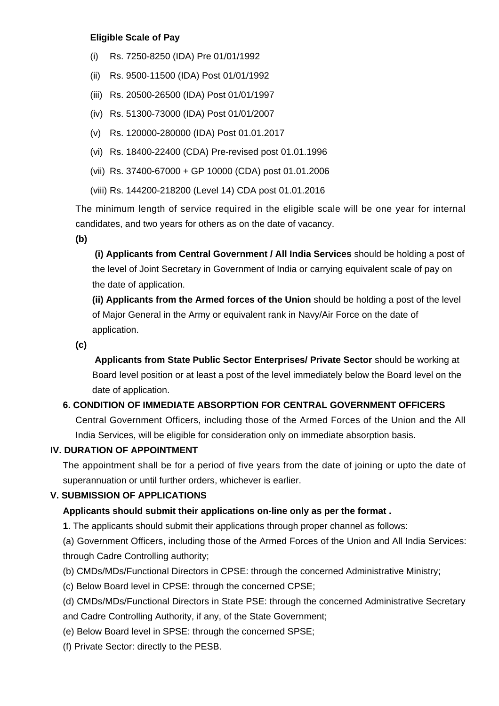#### **Eligible Scale of Pay**

- (i) Rs. 7250-8250 (IDA) Pre 01/01/1992
- (ii) Rs. 9500-11500 (IDA) Post 01/01/1992
- (iii) Rs. 20500-26500 (IDA) Post 01/01/1997
- (iv) Rs. 51300-73000 (IDA) Post 01/01/2007
- (v) Rs. 120000-280000 (IDA) Post 01.01.2017
- (vi) Rs. 18400-22400 (CDA) Pre-revised post 01.01.1996
- (vii) Rs. 37400-67000 + GP 10000 (CDA) post 01.01.2006
- (viii) Rs. 144200-218200 (Level 14) CDA post 01.01.2016

The minimum length of service required in the eligible scale will be one year for internal candidates, and two years for others as on the date of vacancy.

**(b)**

**(i) Applicants from Central Government / All India Services** should be holding a post of the level of Joint Secretary in Government of India or carrying equivalent scale of pay on the date of application.

**(ii) Applicants from the Armed forces of the Union** should be holding a post of the level of Major General in the Army or equivalent rank in Navy/Air Force on the date of application.

**(c)**

 **Applicants from State Public Sector Enterprises/ Private Sector** should be working at Board level position or at least a post of the level immediately below the Board level on the date of application.

# **6. CONDITION OF IMMEDIATE ABSORPTION FOR CENTRAL GOVERNMENT OFFICERS**

Central Government Officers, including those of the Armed Forces of the Union and the All India Services, will be eligible for consideration only on immediate absorption basis.

#### **IV. DURATION OF APPOINTMENT**

The appointment shall be for a period of five years from the date of joining or upto the date of superannuation or until further orders, whichever is earlier.

#### **V. SUBMISSION OF APPLICATIONS**

# **Applicants should submit their applications on-line only as per the format .**

**1**. The applicants should submit their applications through proper channel as follows:

(a) Government Officers, including those of the Armed Forces of the Union and All India Services: through Cadre Controlling authority;

- (b) CMDs/MDs/Functional Directors in CPSE: through the concerned Administrative Ministry;
- (c) Below Board level in CPSE: through the concerned CPSE;
- (d) CMDs/MDs/Functional Directors in State PSE: through the concerned Administrative Secretary
- and Cadre Controlling Authority, if any, of the State Government;
- (e) Below Board level in SPSE: through the concerned SPSE;
- (f) Private Sector: directly to the PESB.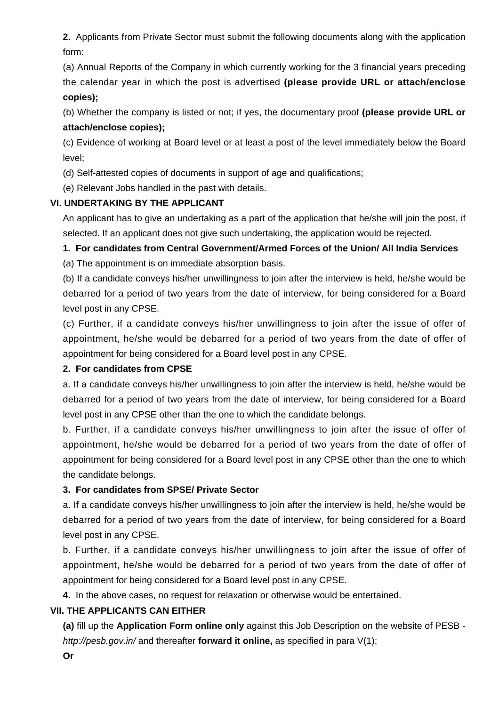**2.** Applicants from Private Sector must submit the following documents along with the application form:

(a) Annual Reports of the Company in which currently working for the 3 financial years preceding the calendar year in which the post is advertised **(please provide URL or attach/enclose copies);**

(b) Whether the company is listed or not; if yes, the documentary proof **(please provide URL or attach/enclose copies);**

(c) Evidence of working at Board level or at least a post of the level immediately below the Board level;

(d) Self-attested copies of documents in support of age and qualifications;

(e) Relevant Jobs handled in the past with details.

#### **VI. UNDERTAKING BY THE APPLICANT**

An applicant has to give an undertaking as a part of the application that he/she will join the post, if selected. If an applicant does not give such undertaking, the application would be rejected.

# **1. For candidates from Central Government/Armed Forces of the Union/ All India Services**

(a) The appointment is on immediate absorption basis.

(b) If a candidate conveys his/her unwillingness to join after the interview is held, he/she would be debarred for a period of two years from the date of interview, for being considered for a Board level post in any CPSE.

(c) Further, if a candidate conveys his/her unwillingness to join after the issue of offer of appointment, he/she would be debarred for a period of two years from the date of offer of appointment for being considered for a Board level post in any CPSE.

#### **2. For candidates from CPSE**

a. If a candidate conveys his/her unwillingness to join after the interview is held, he/she would be debarred for a period of two years from the date of interview, for being considered for a Board level post in any CPSE other than the one to which the candidate belongs.

b. Further, if a candidate conveys his/her unwillingness to join after the issue of offer of appointment, he/she would be debarred for a period of two years from the date of offer of appointment for being considered for a Board level post in any CPSE other than the one to which the candidate belongs.

# **3. For candidates from SPSE/ Private Sector**

a. If a candidate conveys his/her unwillingness to join after the interview is held, he/she would be debarred for a period of two years from the date of interview, for being considered for a Board level post in any CPSE.

b. Further, if a candidate conveys his/her unwillingness to join after the issue of offer of appointment, he/she would be debarred for a period of two years from the date of offer of appointment for being considered for a Board level post in any CPSE.

**4.** In the above cases, no request for relaxation or otherwise would be entertained.

# **VII. THE APPLICANTS CAN EITHER**

**(a)** fill up the **Application Form online only** against this Job Description on the website of PESB http://pesb.gov.in/ and thereafter **forward it online,** as specified in para V(1);